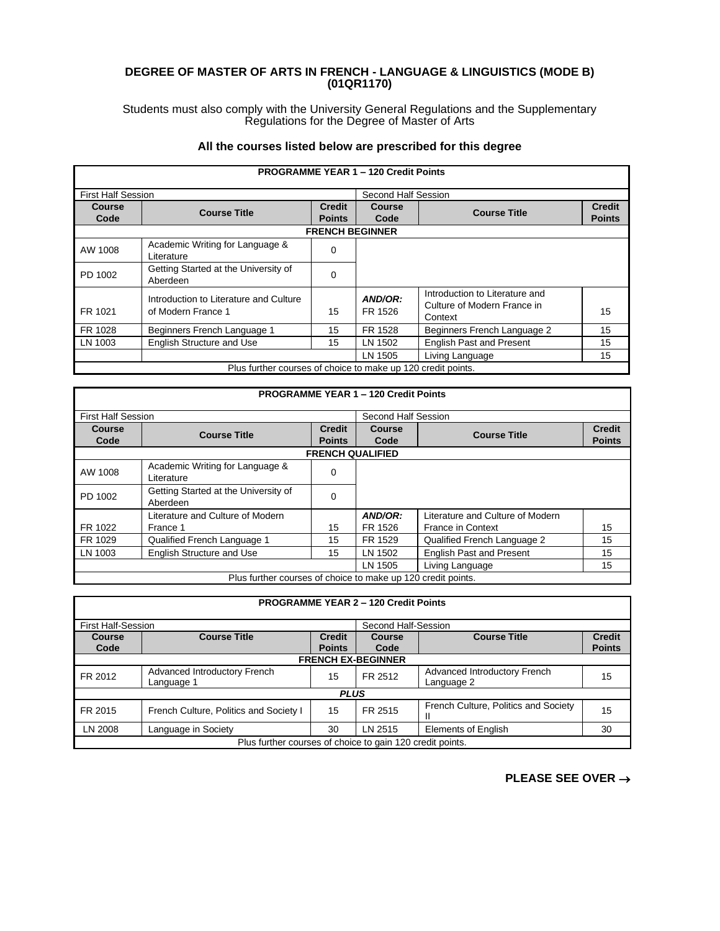## **DEGREE OF MASTER OF ARTS IN FRENCH - LANGUAGE & LINGUISTICS (MODE B) (01QR1170)**

Students must also comply with the University General Regulations and the Supplementary Regulations for the Degree of Master of Arts

## **All the courses listed below are prescribed for this degree**

|                           |                                                              |                                | <b>PROGRAMME YEAR 1 - 120 Credit Points</b> |                                                                          |                                |
|---------------------------|--------------------------------------------------------------|--------------------------------|---------------------------------------------|--------------------------------------------------------------------------|--------------------------------|
| <b>First Half Session</b> |                                                              |                                | Second Half Session                         |                                                                          |                                |
| Course<br>Code            | <b>Course Title</b>                                          | <b>Credit</b><br><b>Points</b> | Course<br>Code                              | <b>Course Title</b>                                                      | <b>Credit</b><br><b>Points</b> |
|                           |                                                              | <b>FRENCH BEGINNER</b>         |                                             |                                                                          |                                |
| AW 1008                   | Academic Writing for Language &<br>Literature                | 0                              |                                             |                                                                          |                                |
| PD 1002                   | Getting Started at the University of<br>Aberdeen             | 0                              |                                             |                                                                          |                                |
| FR 1021                   | Introduction to Literature and Culture<br>of Modern France 1 | 15                             | AND/OR:<br>FR 1526                          | Introduction to Literature and<br>Culture of Modern France in<br>Context | 15                             |
| FR 1028                   | Beginners French Language 1                                  | 15                             | FR 1528                                     | Beginners French Language 2                                              | 15                             |
| LN 1003                   | <b>English Structure and Use</b>                             | 15                             | LN 1502                                     | <b>English Past and Present</b>                                          | 15                             |
|                           |                                                              |                                | LN 1505                                     | Living Language                                                          | 15                             |
|                           | Plus further courses of choice to make up 120 credit points. |                                |                                             |                                                                          |                                |

| <b>PROGRAMME YEAR 1 - 120 Credit Points</b>                  |                                                  |                                |                     |                                  |                                |  |  |
|--------------------------------------------------------------|--------------------------------------------------|--------------------------------|---------------------|----------------------------------|--------------------------------|--|--|
| <b>First Half Session</b>                                    |                                                  |                                | Second Half Session |                                  |                                |  |  |
| Course<br>Code                                               | <b>Course Title</b>                              | <b>Credit</b><br><b>Points</b> | Course<br>Code      | <b>Course Title</b>              | <b>Credit</b><br><b>Points</b> |  |  |
|                                                              | <b>FRENCH QUALIFIED</b>                          |                                |                     |                                  |                                |  |  |
| AW 1008                                                      | Academic Writing for Language &<br>Literature    | $\Omega$                       |                     |                                  |                                |  |  |
| PD 1002                                                      | Getting Started at the University of<br>Aberdeen | 0                              |                     |                                  |                                |  |  |
|                                                              | Literature and Culture of Modern                 |                                | AND/OR:             | Literature and Culture of Modern |                                |  |  |
| FR 1022                                                      | France 1                                         | 15                             | FR 1526             | <b>France in Context</b>         | 15                             |  |  |
| FR 1029                                                      | Qualified French Language 1                      | 15                             | FR 1529             | Qualified French Language 2      | 15                             |  |  |
| LN 1003                                                      | <b>English Structure and Use</b>                 | 15                             | LN 1502             | <b>English Past and Present</b>  | 15                             |  |  |
| 15<br>LN 1505<br>Living Language                             |                                                  |                                |                     |                                  |                                |  |  |
| Plus further courses of choice to make up 120 credit points. |                                                  |                                |                     |                                  |                                |  |  |

| <b>PROGRAMME YEAR 2 - 120 Credit Points</b>               |                                                  |                                |                       |                                            |                                |  |
|-----------------------------------------------------------|--------------------------------------------------|--------------------------------|-----------------------|--------------------------------------------|--------------------------------|--|
|                                                           | <b>First Half-Session</b><br>Second Half-Session |                                |                       |                                            |                                |  |
| Course<br>Code                                            | <b>Course Title</b>                              | <b>Credit</b><br><b>Points</b> | <b>Course</b><br>Code | <b>Course Title</b>                        | <b>Credit</b><br><b>Points</b> |  |
| <b>FRENCH EX-BEGINNER</b>                                 |                                                  |                                |                       |                                            |                                |  |
| FR 2012                                                   | Advanced Introductory French<br>Language 1       | 15                             | FR 2512               | Advanced Introductory French<br>Language 2 | 15                             |  |
| <b>PLUS</b>                                               |                                                  |                                |                       |                                            |                                |  |
| FR 2015                                                   | French Culture, Politics and Society I           | 15                             | FR 2515               | French Culture, Politics and Society       | 15                             |  |
| LN 2008                                                   | Language in Society                              | 30                             | LN 2515               | <b>Elements of English</b>                 | 30                             |  |
| Plus further courses of choice to gain 120 credit points. |                                                  |                                |                       |                                            |                                |  |

**PLEASE SEE OVER** →